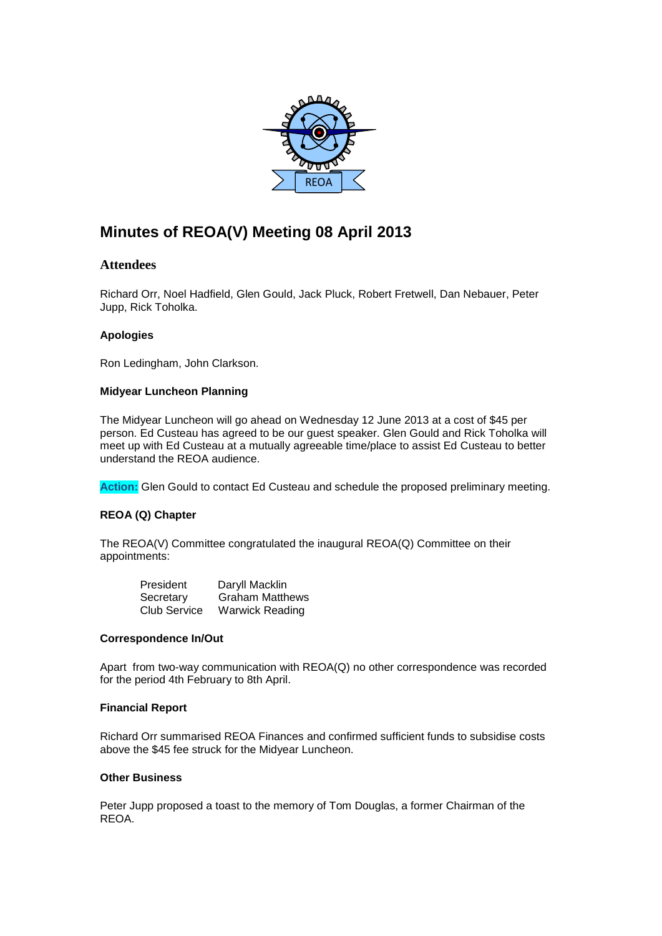

# **Minutes of REOA(V) Meeting 08 April 2013**

## **Attendees**

Richard Orr, Noel Hadfield, Glen Gould, Jack Pluck, Robert Fretwell, Dan Nebauer, Peter Jupp, Rick Toholka.

## **Apologies**

Ron Ledingham, John Clarkson.

#### **Midyear Luncheon Planning**

The Midyear Luncheon will go ahead on Wednesday 12 June 2013 at a cost of \$45 per person. Ed Custeau has agreed to be our guest speaker. Glen Gould and Rick Toholka will meet up with Ed Custeau at a mutually agreeable time/place to assist Ed Custeau to better understand the REOA audience.

**Action:** Glen Gould to contact Ed Custeau and schedule the proposed preliminary meeting.

## **REOA (Q) Chapter**

The REOA(V) Committee congratulated the inaugural REOA(Q) Committee on their appointments:

| President           | Daryll Macklin         |
|---------------------|------------------------|
| Secretary           | <b>Graham Matthews</b> |
| <b>Club Service</b> | <b>Warwick Reading</b> |

#### **Correspondence In/Out**

Apart from two-way communication with REOA(Q) no other correspondence was recorded for the period 4th February to 8th April.

#### **Financial Report**

Richard Orr summarised REOA Finances and confirmed sufficient funds to subsidise costs above the \$45 fee struck for the Midyear Luncheon.

#### **Other Business**

Peter Jupp proposed a toast to the memory of Tom Douglas, a former Chairman of the REOA.